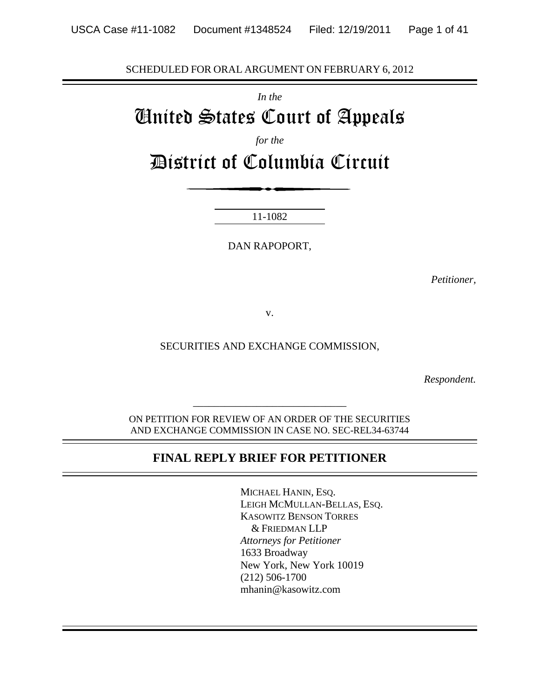SCHEDULED FOR ORAL ARGUMENT ON FEBRUARY 6, 2012

*In the*

# United States Court of Appeals

*for the*

District of Columbia Circuit

11-1082

DAN RAPOPORT,

*Petitioner,*

v.

SECURITIES AND EXCHANGE COMMISSION,

*Respondent.*

ON PETITION FOR REVIEW OF AN ORDER OF THE SECURITIES AND EXCHANGE COMMISSION IN CASE NO. SEC-REL34-63744

*\_\_\_\_\_\_\_\_\_\_\_\_\_\_\_\_\_\_\_\_\_\_\_\_\_\_\_\_\_*

#### **FINAL REPLY BRIEF FOR PETITIONER**

MICHAEL HANIN, ESQ. LEIGH MCMULLAN-BELLAS, ESQ. KASOWITZ BENSON TORRES & FRIEDMAN LLP *Attorneys for Petitioner* 1633 Broadway New York, New York 10019 (212) 506-1700 mhanin@kasowitz.com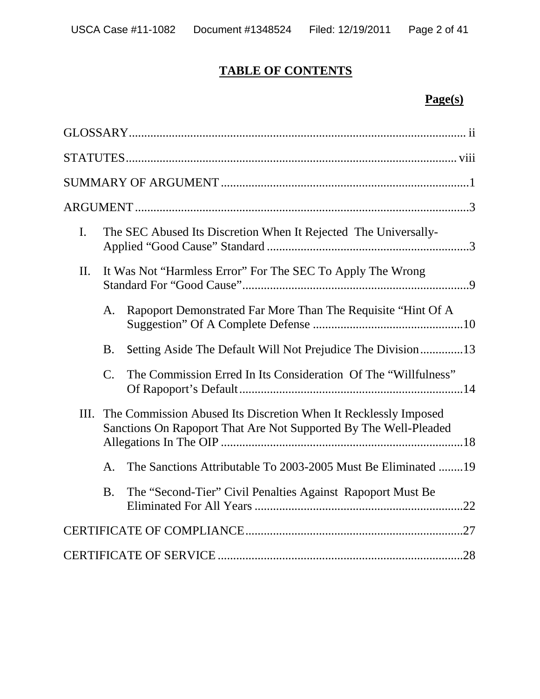# **TABLE OF CONTENTS**

# **Page(s)**

| $\mathbf{I}$ . |                                                            | The SEC Abused Its Discretion When It Rejected The Universally-                                                                     |  |  |
|----------------|------------------------------------------------------------|-------------------------------------------------------------------------------------------------------------------------------------|--|--|
| II.            | It Was Not "Harmless Error" For The SEC To Apply The Wrong |                                                                                                                                     |  |  |
|                | A.                                                         | Rapoport Demonstrated Far More Than The Requisite "Hint Of A                                                                        |  |  |
|                | <b>B.</b>                                                  | Setting Aside The Default Will Not Prejudice The Division13                                                                         |  |  |
|                | $\mathcal{C}$ .                                            | The Commission Erred In Its Consideration Of The "Willfulness"                                                                      |  |  |
| Ш.             |                                                            | The Commission Abused Its Discretion When It Recklessly Imposed<br>Sanctions On Rapoport That Are Not Supported By The Well-Pleaded |  |  |
|                | A <sub>1</sub>                                             | The Sanctions Attributable To 2003-2005 Must Be Eliminated 19                                                                       |  |  |
|                | <b>B.</b>                                                  | The "Second-Tier" Civil Penalties Against Rapoport Must Be                                                                          |  |  |
|                |                                                            |                                                                                                                                     |  |  |
|                |                                                            |                                                                                                                                     |  |  |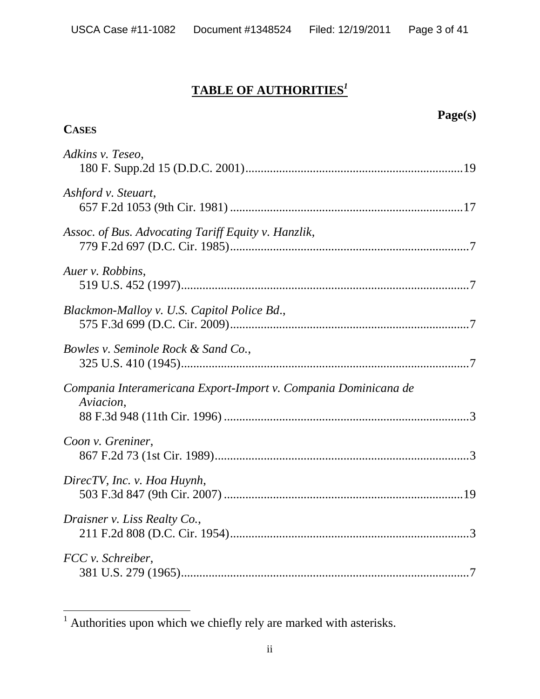# **TABLE OF AUTHORITIES***<sup>1</sup>*

| <b>CASES</b>                                                                 | Page(s) |
|------------------------------------------------------------------------------|---------|
| Adkins v. Teseo,                                                             |         |
| Ashford v. Steuart,                                                          |         |
| Assoc. of Bus. Advocating Tariff Equity v. Hanzlik,                          |         |
| Auer v. Robbins,                                                             |         |
| Blackmon-Malloy v. U.S. Capitol Police Bd.,                                  |         |
| Bowles v. Seminole Rock & Sand Co.,                                          |         |
| Compania Interamericana Export-Import v. Compania Dominicana de<br>Aviacion, |         |
| Coon v. Greniner,                                                            |         |
| DirecTV, Inc. v. Hoa Huynh,                                                  |         |
| Draisner v. Liss Realty Co.,                                                 |         |
| FCC v. Schreiber,                                                            |         |

<sup>&</sup>lt;sup>1</sup> Authorities upon which we chiefly rely are marked with asterisks.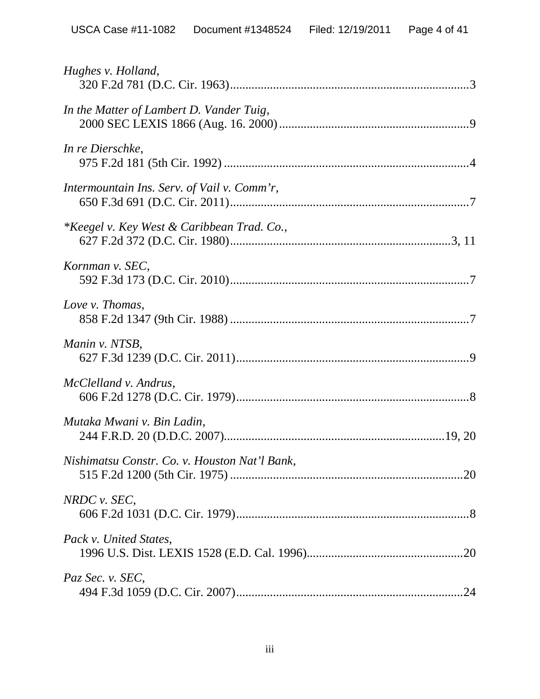| Hughes v. Holland,                                    |
|-------------------------------------------------------|
| In the Matter of Lambert D. Vander Tuig,              |
| In re Dierschke,                                      |
| Intermountain Ins. Serv. of Vail v. Comm'r,           |
| <i>*Keegel v. Key West &amp; Caribbean Trad. Co.,</i> |
| Kornman v. SEC,                                       |
| Love v. Thomas,                                       |
| Manin v. NTSB,                                        |
| McClelland v. Andrus,                                 |
| Mutaka Mwani v. Bin Ladin,                            |
| Nishimatsu Constr. Co. v. Houston Nat'l Bank,         |
| NRDC v. SEC,                                          |
| Pack v. United States,                                |
| Paz Sec. v. SEC,                                      |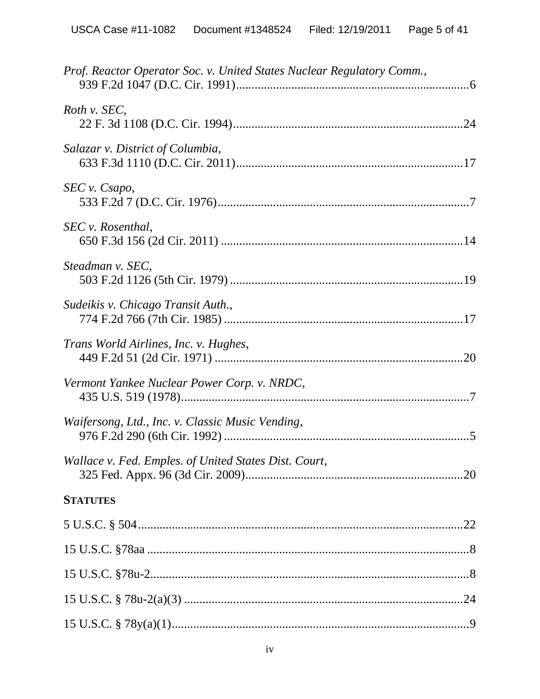| Prof. Reactor Operator Soc. v. United States Nuclear Regulatory Comm., |  |
|------------------------------------------------------------------------|--|
| Roth v. SEC,                                                           |  |
| Salazar v. District of Columbia,                                       |  |
| SEC v. Csapo,                                                          |  |
| SEC v. Rosenthal,                                                      |  |
| Steadman v. SEC,                                                       |  |
| Sudeikis v. Chicago Transit Auth.,                                     |  |
| Trans World Airlines, Inc. v. Hughes,                                  |  |
| Vermont Yankee Nuclear Power Corp. v. NRDC,                            |  |
| Waifersong, Ltd., Inc. v. Classic Music Vending,                       |  |
| Wallace v. Fed. Emples. of United States Dist. Court,                  |  |
| <b>STATUTES</b>                                                        |  |
|                                                                        |  |
|                                                                        |  |
|                                                                        |  |
|                                                                        |  |
|                                                                        |  |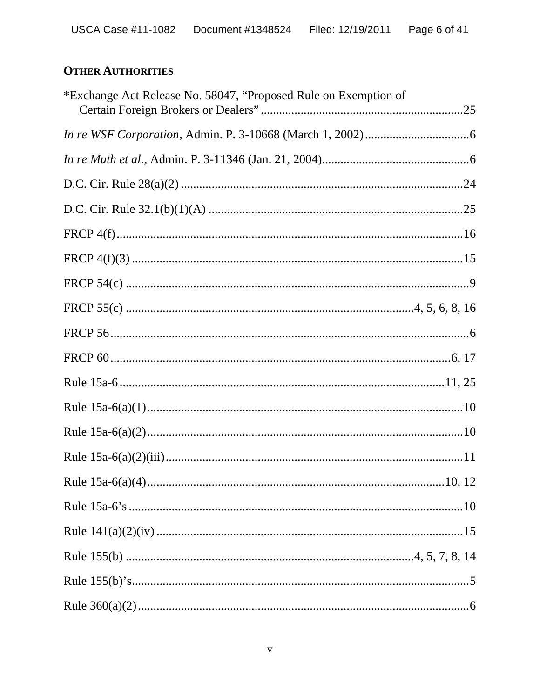# **OTHER AUTHORITIES**

| *Exchange Act Release No. 58047, "Proposed Rule on Exemption of |  |
|-----------------------------------------------------------------|--|
|                                                                 |  |
|                                                                 |  |
|                                                                 |  |
|                                                                 |  |
|                                                                 |  |
|                                                                 |  |
|                                                                 |  |
|                                                                 |  |
|                                                                 |  |
|                                                                 |  |
|                                                                 |  |
|                                                                 |  |
|                                                                 |  |
|                                                                 |  |
|                                                                 |  |
|                                                                 |  |
|                                                                 |  |
|                                                                 |  |
|                                                                 |  |
|                                                                 |  |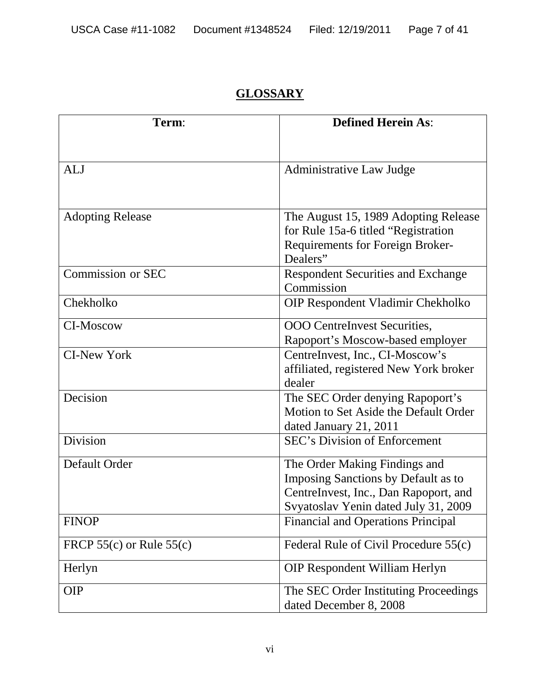# **GLOSSARY**

| Term:                        | <b>Defined Herein As:</b>                                                    |
|------------------------------|------------------------------------------------------------------------------|
|                              |                                                                              |
| <b>ALJ</b>                   | <b>Administrative Law Judge</b>                                              |
|                              |                                                                              |
| <b>Adopting Release</b>      | The August 15, 1989 Adopting Release<br>for Rule 15a-6 titled "Registration" |
|                              | <b>Requirements for Foreign Broker-</b>                                      |
|                              | Dealers"                                                                     |
| Commission or SEC            | <b>Respondent Securities and Exchange</b>                                    |
|                              | Commission                                                                   |
| Chekholko                    | OIP Respondent Vladimir Chekholko                                            |
| <b>CI-Moscow</b>             | OOO CentreInvest Securities,                                                 |
|                              | Rapoport's Moscow-based employer                                             |
| <b>CI-New York</b>           | CentreInvest, Inc., CI-Moscow's                                              |
|                              | affiliated, registered New York broker                                       |
|                              | dealer                                                                       |
| Decision                     | The SEC Order denying Rapoport's                                             |
|                              | Motion to Set Aside the Default Order                                        |
|                              | dated January 21, 2011                                                       |
| Division                     | <b>SEC's Division of Enforcement</b>                                         |
| Default Order                | The Order Making Findings and                                                |
|                              | Imposing Sanctions by Default as to                                          |
|                              | CentreInvest, Inc., Dan Rapoport, and                                        |
|                              | Svyatoslav Yenin dated July 31, 2009                                         |
| <b>FINOP</b>                 | <b>Financial and Operations Principal</b>                                    |
| FRCP $55(c)$ or Rule $55(c)$ | Federal Rule of Civil Procedure 55(c)                                        |
| Herlyn                       | <b>OIP Respondent William Herlyn</b>                                         |
| <b>OIP</b>                   | The SEC Order Instituting Proceedings                                        |
|                              | dated December 8, 2008                                                       |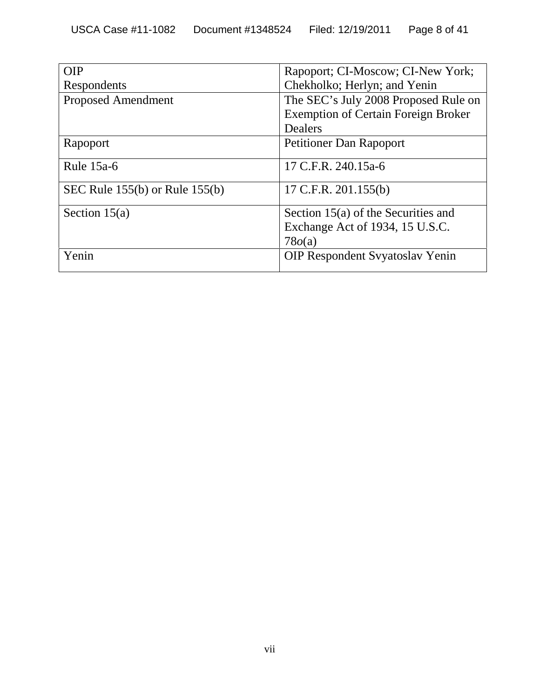| OIP                                | Rapoport; CI-Moscow; CI-New York;          |  |
|------------------------------------|--------------------------------------------|--|
| Respondents                        | Chekholko; Herlyn; and Yenin               |  |
| <b>Proposed Amendment</b>          | The SEC's July 2008 Proposed Rule on       |  |
|                                    | <b>Exemption of Certain Foreign Broker</b> |  |
|                                    | Dealers                                    |  |
| Rapoport                           | <b>Petitioner Dan Rapoport</b>             |  |
| Rule $15a-6$                       | 17 C.F.R. 240.15a-6                        |  |
| SEC Rule $155(b)$ or Rule $155(b)$ | 17 C.F.R. $201.155(b)$                     |  |
| Section $15(a)$                    | Section $15(a)$ of the Securities and      |  |
|                                    | Exchange Act of 1934, 15 U.S.C.            |  |
|                                    | 78o(a)                                     |  |
| Yenin                              | <b>OIP Respondent Syyatoslav Yenin</b>     |  |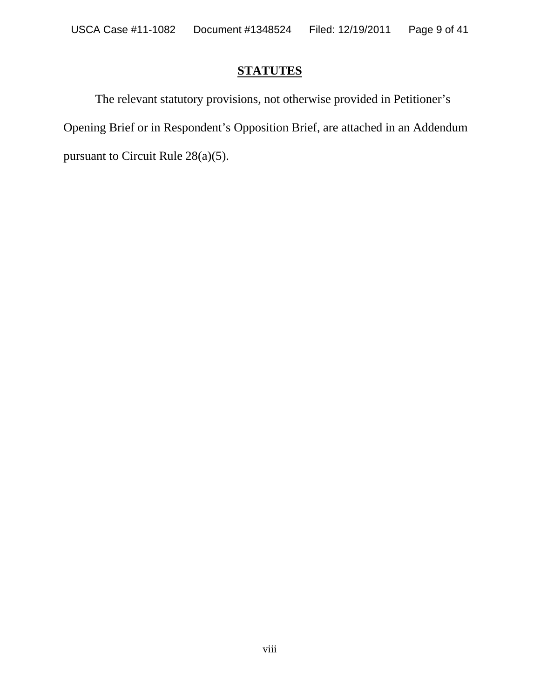#### **STATUTES**

The relevant statutory provisions, not otherwise provided in Petitioner's Opening Brief or in Respondent's Opposition Brief, are attached in an Addendum pursuant to Circuit Rule 28(a)(5).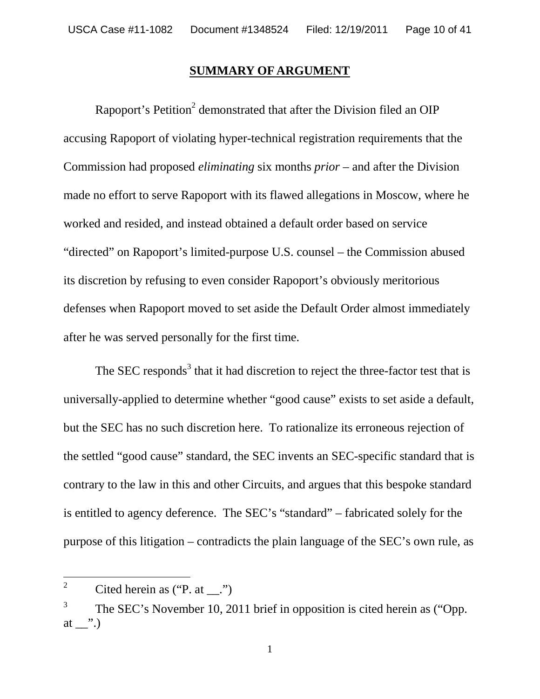#### **SUMMARY OF ARGUMENT**

Rapoport's Petition<sup>2</sup> demonstrated that after the Division filed an OIP accusing Rapoport of violating hyper-technical registration requirements that the Commission had proposed *eliminating* six months *prior* – and after the Division made no effort to serve Rapoport with its flawed allegations in Moscow, where he worked and resided, and instead obtained a default order based on service "directed" on Rapoport's limited-purpose U.S. counsel – the Commission abused its discretion by refusing to even consider Rapoport's obviously meritorious defenses when Rapoport moved to set aside the Default Order almost immediately after he was served personally for the first time.

The SEC responds<sup>3</sup> that it had discretion to reject the three-factor test that is universally-applied to determine whether "good cause" exists to set aside a default, but the SEC has no such discretion here. To rationalize its erroneous rejection of the settled "good cause" standard, the SEC invents an SEC-specific standard that is contrary to the law in this and other Circuits, and argues that this bespoke standard is entitled to agency deference. The SEC's "standard" – fabricated solely for the purpose of this litigation – contradicts the plain language of the SEC's own rule, as

<sup>&</sup>lt;sup>2</sup> Cited herein as ("P. at  $\ldots$ ")

<sup>3</sup> The SEC's November 10, 2011 brief in opposition is cited herein as ("Opp. at  $\_\cdot$ ".)

<sup>1</sup>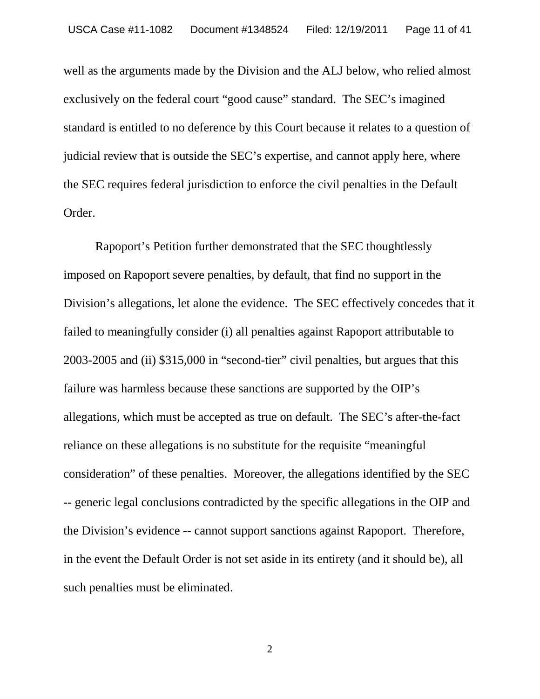well as the arguments made by the Division and the ALJ below, who relied almost exclusively on the federal court "good cause" standard. The SEC's imagined standard is entitled to no deference by this Court because it relates to a question of judicial review that is outside the SEC's expertise, and cannot apply here, where the SEC requires federal jurisdiction to enforce the civil penalties in the Default Order.

Rapoport's Petition further demonstrated that the SEC thoughtlessly imposed on Rapoport severe penalties, by default, that find no support in the Division's allegations, let alone the evidence. The SEC effectively concedes that it failed to meaningfully consider (i) all penalties against Rapoport attributable to 2003-2005 and (ii) \$315,000 in "second-tier" civil penalties, but argues that this failure was harmless because these sanctions are supported by the OIP's allegations, which must be accepted as true on default. The SEC's after-the-fact reliance on these allegations is no substitute for the requisite "meaningful consideration" of these penalties. Moreover, the allegations identified by the SEC -- generic legal conclusions contradicted by the specific allegations in the OIP and the Division's evidence -- cannot support sanctions against Rapoport. Therefore, in the event the Default Order is not set aside in its entirety (and it should be), all such penalties must be eliminated.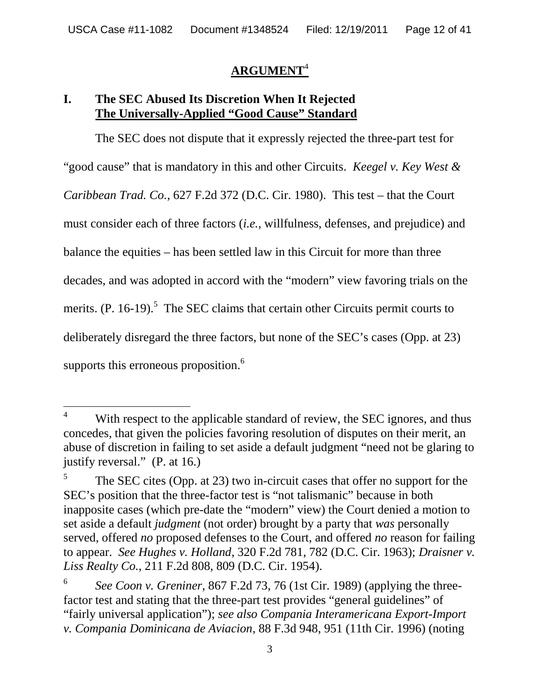#### **ARGUMENT**<sup>4</sup>

#### **I. The SEC Abused Its Discretion When It Rejected The Universally-Applied "Good Cause" Standard**

The SEC does not dispute that it expressly rejected the three-part test for "good cause" that is mandatory in this and other Circuits. *Keegel v. Key West & Caribbean Trad. Co.*, 627 F.2d 372 (D.C. Cir. 1980). This test – that the Court must consider each of three factors (*i.e.,* willfulness, defenses, and prejudice) and balance the equities – has been settled law in this Circuit for more than three decades, and was adopted in accord with the "modern" view favoring trials on the merits.  $(P. 16-19)$ .<sup>5</sup> The SEC claims that certain other Circuits permit courts to deliberately disregard the three factors, but none of the SEC's cases (Opp. at 23) supports this erroneous proposition.<sup>6</sup>

<sup>&</sup>lt;sup>4</sup> With respect to the applicable standard of review, the SEC ignores, and thus concedes, that given the policies favoring resolution of disputes on their merit, an abuse of discretion in failing to set aside a default judgment "need not be glaring to justify reversal." (P. at 16.)

<sup>5</sup> The SEC cites (Opp. at 23) two in-circuit cases that offer no support for the SEC's position that the three-factor test is "not talismanic" because in both inapposite cases (which pre-date the "modern" view) the Court denied a motion to set aside a default *judgment* (not order) brought by a party that *was* personally served, offered *no* proposed defenses to the Court, and offered *no* reason for failing to appear. *See Hughes v. Holland*, 320 F.2d 781, 782 (D.C. Cir. 1963); *Draisner v. Liss Realty Co.*, 211 F.2d 808, 809 (D.C. Cir. 1954).

<sup>6</sup> *See Coon v. Greniner*, 867 F.2d 73, 76 (1st Cir. 1989) (applying the threefactor test and stating that the three-part test provides "general guidelines" of "fairly universal application"); *see also Compania Interamericana Export-Import v. Compania Dominicana de Aviacion*, 88 F.3d 948, 951 (11th Cir. 1996) (noting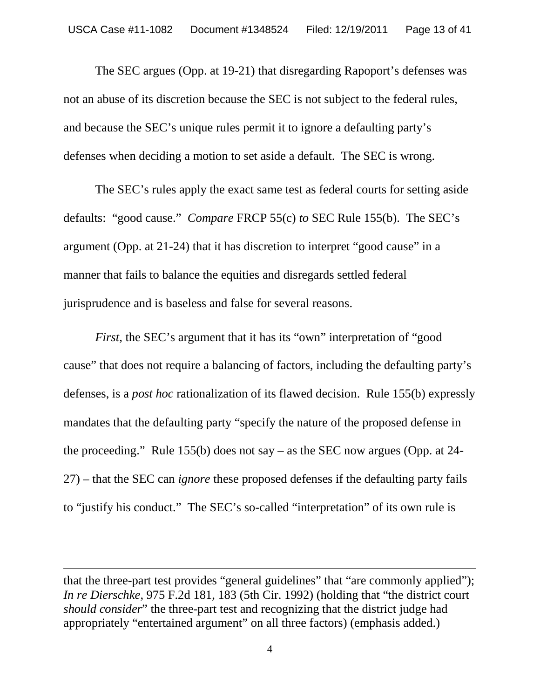The SEC argues (Opp. at 19-21) that disregarding Rapoport's defenses was not an abuse of its discretion because the SEC is not subject to the federal rules, and because the SEC's unique rules permit it to ignore a defaulting party's defenses when deciding a motion to set aside a default. The SEC is wrong.

The SEC's rules apply the exact same test as federal courts for setting aside defaults: "good cause." *Compare* FRCP 55(c) *to* SEC Rule 155(b). The SEC's argument (Opp. at 21-24) that it has discretion to interpret "good cause" in a manner that fails to balance the equities and disregards settled federal jurisprudence and is baseless and false for several reasons.

*First*, the SEC's argument that it has its "own" interpretation of "good cause" that does not require a balancing of factors, including the defaulting party's defenses, is a *post hoc* rationalization of its flawed decision. Rule 155(b) expressly mandates that the defaulting party "specify the nature of the proposed defense in the proceeding." Rule 155(b) does not say – as the SEC now argues (Opp. at 24- 27) – that the SEC can *ignore* these proposed defenses if the defaulting party fails to "justify his conduct." The SEC's so-called "interpretation" of its own rule is

that the three-part test provides "general guidelines" that "are commonly applied"); *In re Dierschke*, 975 F.2d 181, 183 (5th Cir. 1992) (holding that "the district court *should consider*" the three-part test and recognizing that the district judge had appropriately "entertained argument" on all three factors) (emphasis added.)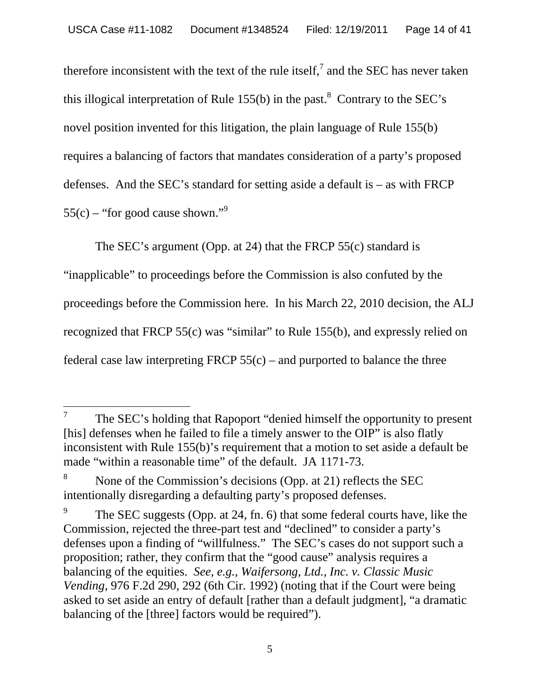therefore inconsistent with the text of the rule itself,<sup>7</sup> and the SEC has never taken this illogical interpretation of Rule  $155(b)$  in the past.<sup>8</sup> Contrary to the SEC's novel position invented for this litigation, the plain language of Rule 155(b) requires a balancing of factors that mandates consideration of a party's proposed defenses. And the SEC's standard for setting aside a default is – as with FRCP  $55(c)$  – "for good cause shown."<sup>9</sup>

The SEC's argument (Opp. at 24) that the FRCP 55(c) standard is

"inapplicable" to proceedings before the Commission is also confuted by the proceedings before the Commission here*.* In his March 22, 2010 decision, the ALJ recognized that FRCP 55(c) was "similar" to Rule 155(b), and expressly relied on federal case law interpreting FRCP  $55(c)$  – and purported to balance the three

<sup>7</sup> The SEC's holding that Rapoport "denied himself the opportunity to present [his] defenses when he failed to file a timely answer to the OIP" is also flatly inconsistent with Rule 155(b)'s requirement that a motion to set aside a default be made "within a reasonable time" of the default. JA 1171-73.

<sup>8</sup> None of the Commission's decisions (Opp. at 21) reflects the SEC intentionally disregarding a defaulting party's proposed defenses.

<sup>9</sup> The SEC suggests (Opp. at 24, fn. 6) that some federal courts have, like the Commission, rejected the three-part test and "declined" to consider a party's defenses upon a finding of "willfulness." The SEC's cases do not support such a proposition; rather, they confirm that the "good cause" analysis requires a balancing of the equities. *See, e.g., Waifersong, Ltd., Inc. v. Classic Music Vending*, 976 F.2d 290, 292 (6th Cir. 1992) (noting that if the Court were being asked to set aside an entry of default [rather than a default judgment], "a dramatic balancing of the [three] factors would be required").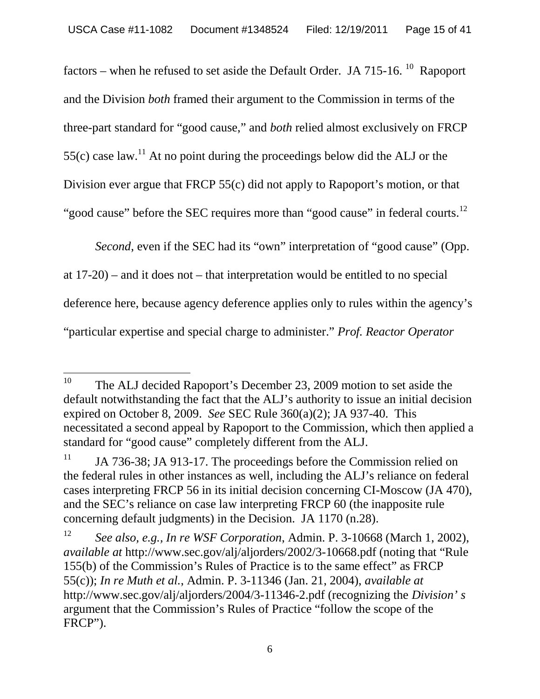factors – when he refused to set aside the Default Order. JA 715-16.  $^{10}$  Rapoport and the Division *both* framed their argument to the Commission in terms of the three-part standard for "good cause," and *both* relied almost exclusively on FRCP 55(c) case law.<sup>11</sup> At no point during the proceedings below did the ALJ or the Division ever argue that FRCP 55(c) did not apply to Rapoport's motion, or that "good cause" before the SEC requires more than "good cause" in federal courts.<sup>12</sup>

*Second*, even if the SEC had its "own" interpretation of "good cause" (Opp. at 17-20) – and it does not – that interpretation would be entitled to no special deference here, because agency deference applies only to rules within the agency's "particular expertise and special charge to administer." *Prof. Reactor Operator*

<sup>&</sup>lt;sup>10</sup> The ALJ decided Rapoport's December 23, 2009 motion to set aside the default notwithstanding the fact that the ALJ's authority to issue an initial decision expired on October 8, 2009. *See* SEC Rule 360(a)(2); JA 937-40. This necessitated a second appeal by Rapoport to the Commission, which then applied a standard for "good cause" completely different from the ALJ.

 $11$  JA 736-38; JA 913-17. The proceedings before the Commission relied on the federal rules in other instances as well, including the ALJ's reliance on federal cases interpreting FRCP 56 in its initial decision concerning CI-Moscow (JA 470), and the SEC's reliance on case law interpreting FRCP 60 (the inapposite rule concerning default judgments) in the Decision. JA 1170 (n.28).

<sup>12</sup> *See also, e.g., In re WSF Corporation*, Admin. P. 3-10668 (March 1, 2002), *available at* http://www.sec.gov/alj/aljorders/2002/3-10668.pdf (noting that "Rule 155(b) of the Commission's Rules of Practice is to the same effect" as FRCP 55(c)); *In re Muth et al.*, Admin. P. 3-11346 (Jan. 21, 2004), *available at* http://www.sec.gov/alj/aljorders/2004/3-11346-2.pdf (recognizing the *Division' s* argument that the Commission's Rules of Practice "follow the scope of the FRCP").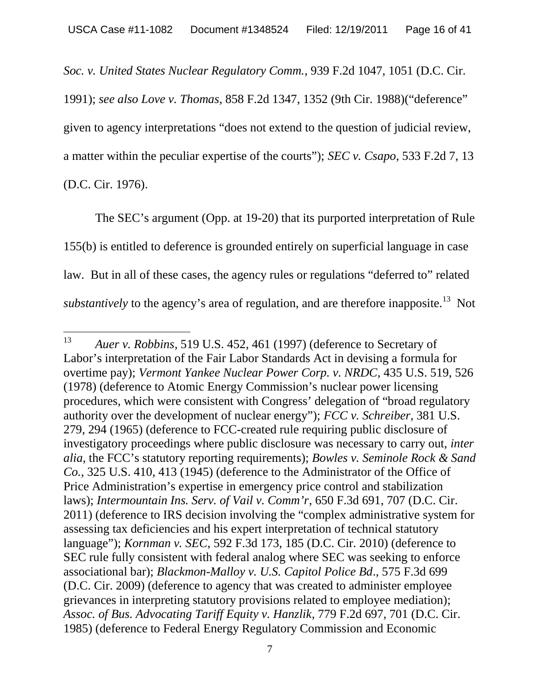*Soc. v. United States Nuclear Regulatory Comm.*, 939 F.2d 1047, 1051 (D.C. Cir.

1991); *see also Love v. Thomas*, 858 F.2d 1347, 1352 (9th Cir. 1988)("deference" given to agency interpretations "does not extend to the question of judicial review, a matter within the peculiar expertise of the courts"); *SEC v. Csapo*, 533 F.2d 7, 13 (D.C. Cir. 1976).

The SEC's argument (Opp. at 19-20) that its purported interpretation of Rule 155(b) is entitled to deference is grounded entirely on superficial language in case law. But in all of these cases, the agency rules or regulations "deferred to" related *substantively* to the agency's area of regulation, and are therefore inapposite.<sup>13</sup> Not

<sup>13</sup> *Auer v. Robbins*, 519 U.S. 452, 461 (1997) (deference to Secretary of Labor's interpretation of the Fair Labor Standards Act in devising a formula for overtime pay); *Vermont Yankee Nuclear Power Corp. v. NRDC*, 435 U.S. 519, 526 (1978) (deference to Atomic Energy Commission's nuclear power licensing procedures, which were consistent with Congress' delegation of "broad regulatory authority over the development of nuclear energy"); *FCC v. Schreiber*, 381 U.S. 279, 294 (1965) (deference to FCC-created rule requiring public disclosure of investigatory proceedings where public disclosure was necessary to carry out, *inter alia*, the FCC's statutory reporting requirements); *Bowles v. Seminole Rock & Sand Co.*, 325 U.S. 410, 413 (1945) (deference to the Administrator of the Office of Price Administration's expertise in emergency price control and stabilization laws); *Intermountain Ins. Serv. of Vail v. Comm'r*, 650 F.3d 691, 707 (D.C. Cir. 2011) (deference to IRS decision involving the "complex administrative system for assessing tax deficiencies and his expert interpretation of technical statutory language"); *Kornman v. SEC*, 592 F.3d 173, 185 (D.C. Cir. 2010) (deference to SEC rule fully consistent with federal analog where SEC was seeking to enforce associational bar); *Blackmon-Malloy v. U.S. Capitol Police Bd*., 575 F.3d 699 (D.C. Cir. 2009) (deference to agency that was created to administer employee grievances in interpreting statutory provisions related to employee mediation); *Assoc. of Bus. Advocating Tariff Equity v. Hanzlik*, 779 F.2d 697, 701 (D.C. Cir. 1985) (deference to Federal Energy Regulatory Commission and Economic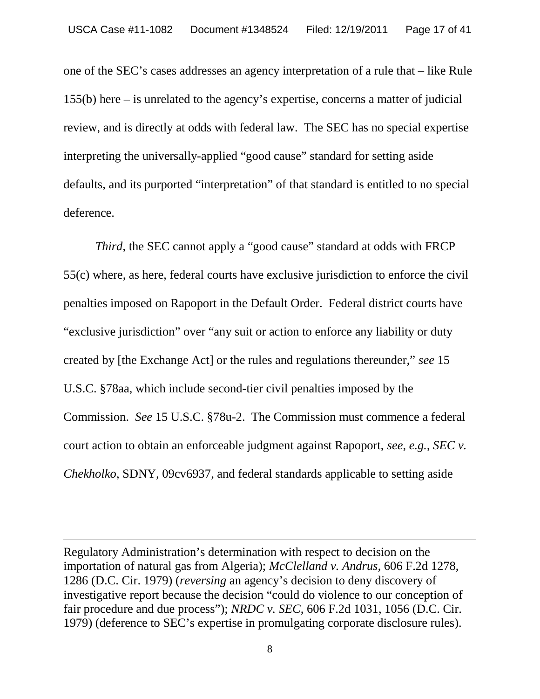one of the SEC's cases addresses an agency interpretation of a rule that – like Rule 155(b) here – is unrelated to the agency's expertise, concerns a matter of judicial review, and is directly at odds with federal law. The SEC has no special expertise interpreting the universally-applied "good cause" standard for setting aside defaults, and its purported "interpretation" of that standard is entitled to no special deference.

*Third*, the SEC cannot apply a "good cause" standard at odds with FRCP 55(c) where, as here, federal courts have exclusive jurisdiction to enforce the civil penalties imposed on Rapoport in the Default Order. Federal district courts have "exclusive jurisdiction" over "any suit or action to enforce any liability or duty created by [the Exchange Act] or the rules and regulations thereunder," *see* 15 U.S.C. §78aa, which include second-tier civil penalties imposed by the Commission. *See* 15 U.S.C. §78u-2. The Commission must commence a federal court action to obtain an enforceable judgment against Rapoport, *see, e.g.*, *SEC v. Chekholko*, SDNY, 09cv6937, and federal standards applicable to setting aside

Regulatory Administration's determination with respect to decision on the importation of natural gas from Algeria); *McClelland v. Andrus*, 606 F.2d 1278, 1286 (D.C. Cir. 1979) (*reversing* an agency's decision to deny discovery of investigative report because the decision "could do violence to our conception of fair procedure and due process"); *NRDC v. SEC*, 606 F.2d 1031, 1056 (D.C. Cir. 1979) (deference to SEC's expertise in promulgating corporate disclosure rules).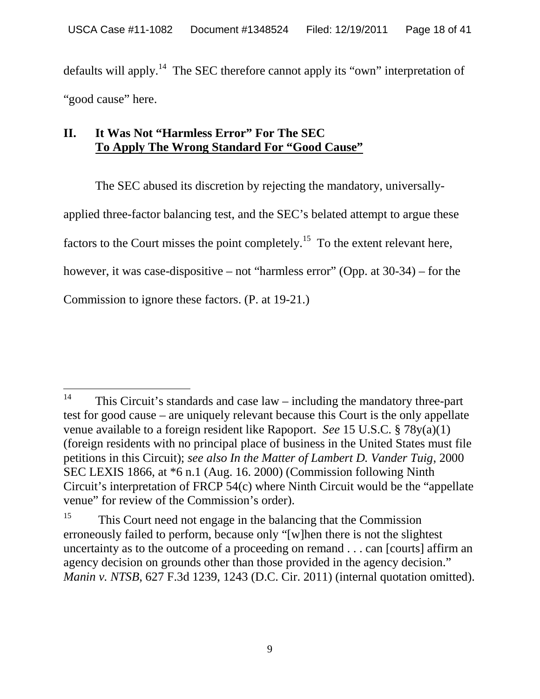defaults will apply.<sup>14</sup> The SEC therefore cannot apply its "own" interpretation of "good cause" here.

### **II. It Was Not "Harmless Error" For The SEC To Apply The Wrong Standard For "Good Cause"**

The SEC abused its discretion by rejecting the mandatory, universallyapplied three-factor balancing test, and the SEC's belated attempt to argue these factors to the Court misses the point completely.<sup>15</sup> To the extent relevant here, however, it was case-dispositive – not "harmless error" (Opp. at 30-34) – for the Commission to ignore these factors. (P. at 19-21.)

<sup>&</sup>lt;sup>14</sup> This Circuit's standards and case  $law$  – including the mandatory three-part test for good cause – are uniquely relevant because this Court is the only appellate venue available to a foreign resident like Rapoport. *See* 15 U.S.C. § 78y(a)(1) (foreign residents with no principal place of business in the United States must file petitions in this Circuit); *see also In the Matter of Lambert D. Vander Tuig*, 2000 SEC LEXIS 1866, at \*6 n.1 (Aug. 16. 2000) (Commission following Ninth Circuit's interpretation of FRCP 54(c) where Ninth Circuit would be the "appellate venue" for review of the Commission's order).

<sup>&</sup>lt;sup>15</sup> This Court need not engage in the balancing that the Commission erroneously failed to perform, because only "[w]hen there is not the slightest uncertainty as to the outcome of a proceeding on remand . . . can [courts] affirm an agency decision on grounds other than those provided in the agency decision." *Manin v. NTSB*, 627 F.3d 1239, 1243 (D.C. Cir. 2011) (internal quotation omitted).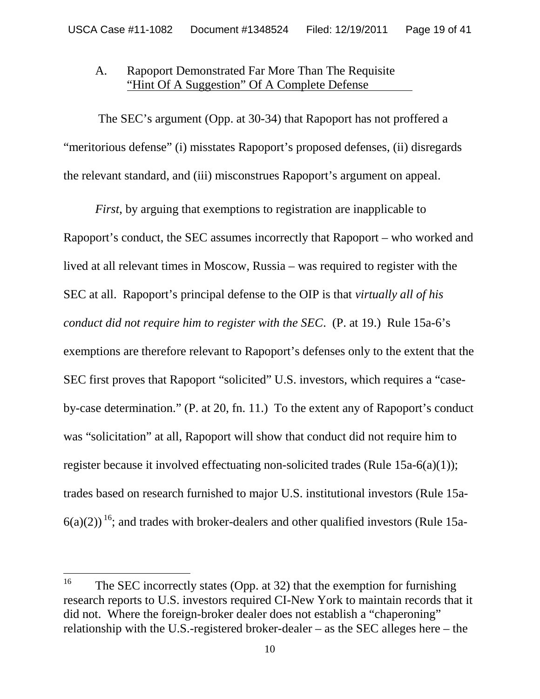#### A. Rapoport Demonstrated Far More Than The Requisite "Hint Of A Suggestion" Of A Complete Defense

The SEC's argument (Opp. at 30-34) that Rapoport has not proffered a "meritorious defense" (i) misstates Rapoport's proposed defenses, (ii) disregards the relevant standard, and (iii) misconstrues Rapoport's argument on appeal.

*First*, by arguing that exemptions to registration are inapplicable to Rapoport's conduct, the SEC assumes incorrectly that Rapoport – who worked and lived at all relevant times in Moscow, Russia – was required to register with the SEC at all. Rapoport's principal defense to the OIP is that *virtually all of his conduct did not require him to register with the SEC*. (P. at 19.) Rule 15a-6's exemptions are therefore relevant to Rapoport's defenses only to the extent that the SEC first proves that Rapoport "solicited" U.S. investors, which requires a "caseby-case determination." (P. at 20, fn. 11.) To the extent any of Rapoport's conduct was "solicitation" at all, Rapoport will show that conduct did not require him to register because it involved effectuating non-solicited trades (Rule 15a-6(a)(1)); trades based on research furnished to major U.S. institutional investors (Rule 15a- $6(a)(2)$ <sup>16</sup>; and trades with broker-dealers and other qualified investors (Rule 15a-

<sup>&</sup>lt;sup>16</sup> The SEC incorrectly states (Opp. at 32) that the exemption for furnishing research reports to U.S. investors required CI-New York to maintain records that it did not. Where the foreign-broker dealer does not establish a "chaperoning" relationship with the U.S.-registered broker-dealer – as the SEC alleges here – the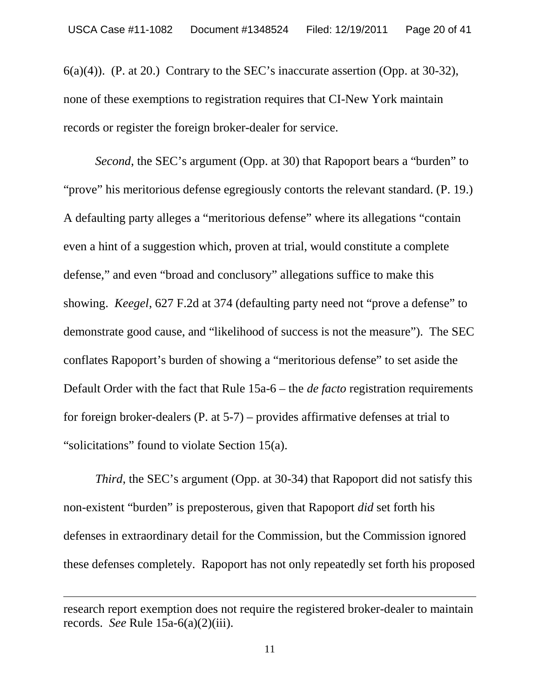$6(a)(4)$ ). (P. at 20.) Contrary to the SEC's inaccurate assertion (Opp. at 30-32), none of these exemptions to registration requires that CI-New York maintain records or register the foreign broker-dealer for service.

*Second*, the SEC's argument (Opp. at 30) that Rapoport bears a "burden" to "prove" his meritorious defense egregiously contorts the relevant standard. (P. 19.) A defaulting party alleges a "meritorious defense" where its allegations "contain even a hint of a suggestion which, proven at trial, would constitute a complete defense," and even "broad and conclusory" allegations suffice to make this showing. *Keegel*, 627 F.2d at 374 (defaulting party need not "prove a defense" to demonstrate good cause, and "likelihood of success is not the measure"). The SEC conflates Rapoport's burden of showing a "meritorious defense" to set aside the Default Order with the fact that Rule 15a-6 – the *de facto* registration requirements for foreign broker-dealers (P. at 5-7) – provides affirmative defenses at trial to "solicitations" found to violate Section 15(a).

*Third*, the SEC's argument (Opp. at 30-34) that Rapoport did not satisfy this non-existent "burden" is preposterous, given that Rapoport *did* set forth his defenses in extraordinary detail for the Commission, but the Commission ignored these defenses completely. Rapoport has not only repeatedly set forth his proposed

research report exemption does not require the registered broker-dealer to maintain records. *See* Rule 15a-6(a)(2)(iii).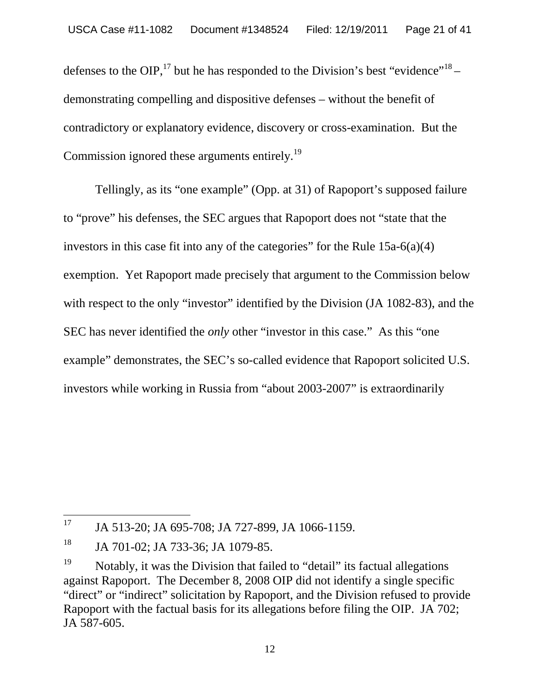defenses to the OIP,<sup>17</sup> but he has responded to the Division's best "evidence"<sup>18</sup> – demonstrating compelling and dispositive defenses – without the benefit of contradictory or explanatory evidence, discovery or cross-examination. But the Commission ignored these arguments entirely.<sup>19</sup>

Tellingly, as its "one example" (Opp. at 31) of Rapoport's supposed failure to "prove" his defenses, the SEC argues that Rapoport does not "state that the investors in this case fit into any of the categories" for the Rule  $15a-6(a)(4)$ exemption. Yet Rapoport made precisely that argument to the Commission below with respect to the only "investor" identified by the Division (JA 1082-83), and the SEC has never identified the *only* other "investor in this case." As this "one example" demonstrates, the SEC's so-called evidence that Rapoport solicited U.S. investors while working in Russia from "about 2003-2007" is extraordinarily

<sup>&</sup>lt;sup>17</sup> JA 513-20; JA 695-708; JA 727-899, JA 1066-1159.

<sup>&</sup>lt;sup>18</sup> JA 701-02; JA 733-36; JA 1079-85.

<sup>&</sup>lt;sup>19</sup> Notably, it was the Division that failed to "detail" its factual allegations against Rapoport. The December 8, 2008 OIP did not identify a single specific "direct" or "indirect" solicitation by Rapoport, and the Division refused to provide Rapoport with the factual basis for its allegations before filing the OIP. JA 702; JA 587-605.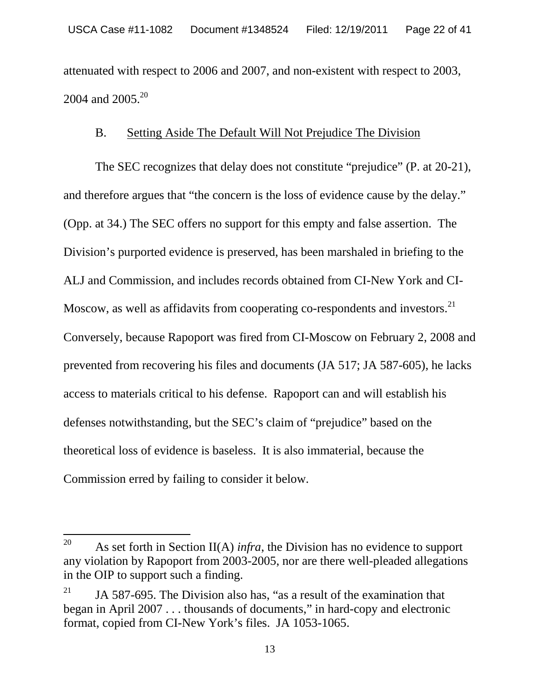attenuated with respect to 2006 and 2007, and non-existent with respect to 2003, 2004 and 2005.<sup>20</sup>

#### B. Setting Aside The Default Will Not Prejudice The Division

The SEC recognizes that delay does not constitute "prejudice" (P. at 20-21), and therefore argues that "the concern is the loss of evidence cause by the delay." (Opp. at 34.) The SEC offers no support for this empty and false assertion. The Division's purported evidence is preserved, has been marshaled in briefing to the ALJ and Commission, and includes records obtained from CI-New York and CI-Moscow, as well as affidavits from cooperating co-respondents and investors.<sup>21</sup> Conversely, because Rapoport was fired from CI-Moscow on February 2, 2008 and prevented from recovering his files and documents (JA 517; JA 587-605), he lacks access to materials critical to his defense. Rapoport can and will establish his defenses notwithstanding, but the SEC's claim of "prejudice" based on the theoretical loss of evidence is baseless. It is also immaterial, because the Commission erred by failing to consider it below.

<sup>&</sup>lt;sup>20</sup> As set forth in Section II(A) *infra*, the Division has no evidence to support any violation by Rapoport from 2003-2005, nor are there well-pleaded allegations in the OIP to support such a finding.

IA 587-695. The Division also has, "as a result of the examination that began in April 2007 . . . thousands of documents," in hard-copy and electronic format, copied from CI-New York's files. JA 1053-1065.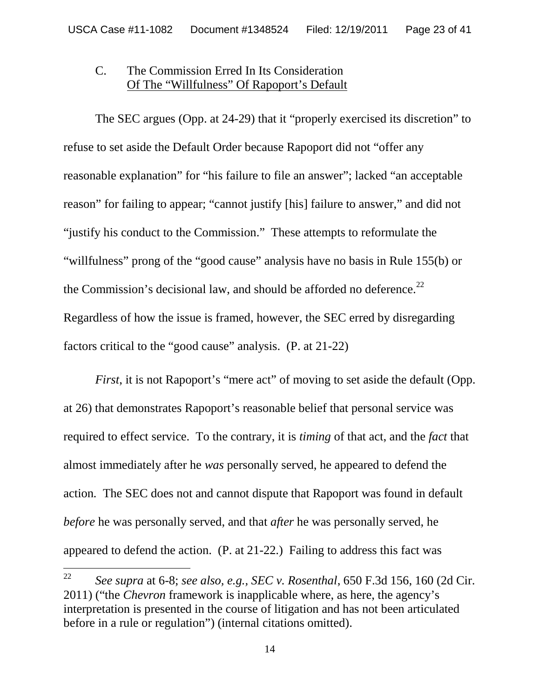#### C. The Commission Erred In Its Consideration Of The "Willfulness" Of Rapoport's Default

The SEC argues (Opp. at 24-29) that it "properly exercised its discretion" to refuse to set aside the Default Order because Rapoport did not "offer any reasonable explanation" for "his failure to file an answer"; lacked "an acceptable reason" for failing to appear; "cannot justify [his] failure to answer," and did not "justify his conduct to the Commission." These attempts to reformulate the "willfulness" prong of the "good cause" analysis have no basis in Rule 155(b) or the Commission's decisional law, and should be afforded no deference. $^{22}$ Regardless of how the issue is framed, however, the SEC erred by disregarding factors critical to the "good cause" analysis. (P. at 21-22)

*First*, it is not Rapoport's "mere act" of moving to set aside the default (Opp. at 26) that demonstrates Rapoport's reasonable belief that personal service was required to effect service. To the contrary, it is *timing* of that act, and the *fact* that almost immediately after he *was* personally served, he appeared to defend the action*.* The SEC does not and cannot dispute that Rapoport was found in default *before* he was personally served, and that *after* he was personally served, he appeared to defend the action. (P. at 21-22.) Failing to address this fact was

<sup>22</sup> *See supra* at 6-8; *see also, e.g., SEC v. Rosenthal*, 650 F.3d 156, 160 (2d Cir. 2011) ("the *Chevron* framework is inapplicable where, as here, the agency's interpretation is presented in the course of litigation and has not been articulated before in a rule or regulation") (internal citations omitted).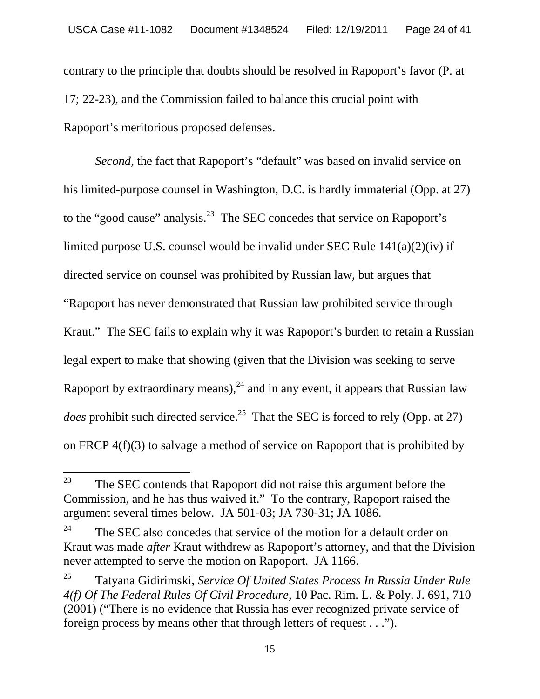contrary to the principle that doubts should be resolved in Rapoport's favor (P. at 17; 22-23), and the Commission failed to balance this crucial point with Rapoport's meritorious proposed defenses.

*Second*, the fact that Rapoport's "default" was based on invalid service on his limited-purpose counsel in Washington, D.C. is hardly immaterial (Opp. at 27) to the "good cause" analysis.<sup>23</sup> The SEC concedes that service on Rapoport's limited purpose U.S. counsel would be invalid under SEC Rule 141(a)(2)(iv) if directed service on counsel was prohibited by Russian law, but argues that "Rapoport has never demonstrated that Russian law prohibited service through Kraut." The SEC fails to explain why it was Rapoport's burden to retain a Russian legal expert to make that showing (given that the Division was seeking to serve Rapoport by extraordinary means).<sup>24</sup> and in any event, it appears that Russian law *does* prohibit such directed service.<sup>25</sup> That the SEC is forced to rely (Opp. at 27) on FRCP 4(f)(3) to salvage a method of service on Rapoport that is prohibited by

 $23$  The SEC contends that Rapoport did not raise this argument before the Commission, and he has thus waived it." To the contrary, Rapoport raised the argument several times below. JA 501-03; JA 730-31; JA 1086.

<sup>&</sup>lt;sup>24</sup> The SEC also concedes that service of the motion for a default order on Kraut was made *after* Kraut withdrew as Rapoport's attorney, and that the Division never attempted to serve the motion on Rapoport. JA 1166.

<sup>25</sup> Tatyana Gidirimski, *Service Of United States Process In Russia Under Rule 4(f) Of The Federal Rules Of Civil Procedure*, 10 Pac. Rim. L. & Poly. J. 691, 710 (2001) ("There is no evidence that Russia has ever recognized private service of foreign process by means other that through letters of request . . .").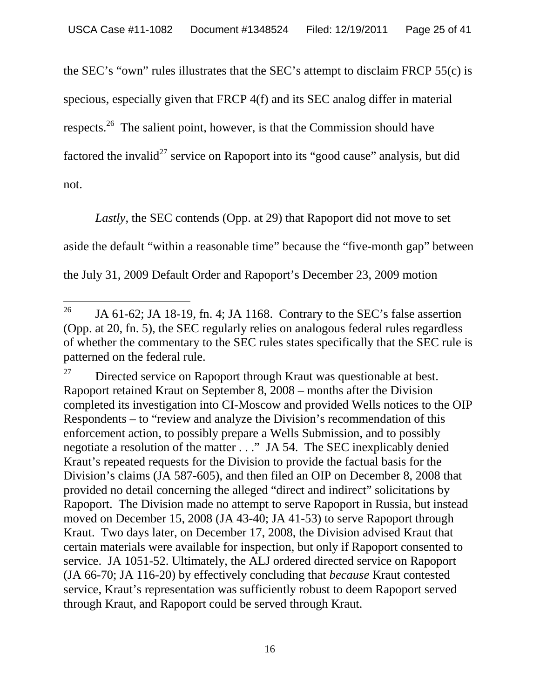the SEC's "own" rules illustrates that the SEC's attempt to disclaim FRCP 55(c) is specious, especially given that FRCP 4(f) and its SEC analog differ in material respects.<sup>26</sup> The salient point, however, is that the Commission should have factored the invalid<sup>27</sup> service on Rapoport into its "good cause" analysis, but did not.

*Lastly*, the SEC contends (Opp. at 29) that Rapoport did not move to set aside the default "within a reasonable time" because the "five-month gap" between the July 31, 2009 Default Order and Rapoport's December 23, 2009 motion

<sup>&</sup>lt;sup>26</sup> JA 61-62; JA 18-19, fn. 4; JA 1168. Contrary to the SEC's false assertion (Opp. at 20, fn. 5), the SEC regularly relies on analogous federal rules regardless of whether the commentary to the SEC rules states specifically that the SEC rule is patterned on the federal rule.

 $27$  Directed service on Rapoport through Kraut was questionable at best. Rapoport retained Kraut on September 8, 2008 – months after the Division completed its investigation into CI-Moscow and provided Wells notices to the OIP Respondents – to "review and analyze the Division's recommendation of this enforcement action, to possibly prepare a Wells Submission, and to possibly negotiate a resolution of the matter . . ." JA 54. The SEC inexplicably denied Kraut's repeated requests for the Division to provide the factual basis for the Division's claims (JA 587-605), and then filed an OIP on December 8, 2008 that provided no detail concerning the alleged "direct and indirect" solicitations by Rapoport. The Division made no attempt to serve Rapoport in Russia, but instead moved on December 15, 2008 (JA 43-40; JA 41-53) to serve Rapoport through Kraut. Two days later, on December 17, 2008, the Division advised Kraut that certain materials were available for inspection, but only if Rapoport consented to service. JA 1051-52. Ultimately, the ALJ ordered directed service on Rapoport (JA 66-70; JA 116-20) by effectively concluding that *because* Kraut contested service, Kraut's representation was sufficiently robust to deem Rapoport served through Kraut, and Rapoport could be served through Kraut.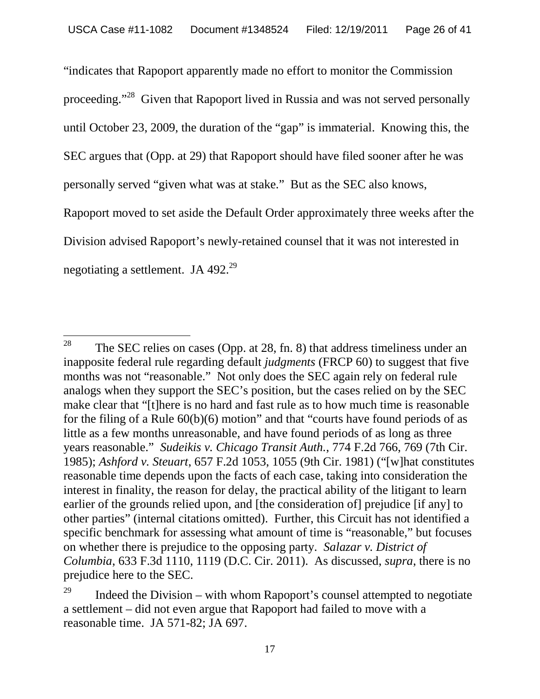"indicates that Rapoport apparently made no effort to monitor the Commission proceeding."<sup>28</sup> Given that Rapoport lived in Russia and was not served personally until October 23, 2009, the duration of the "gap" is immaterial. Knowing this, the SEC argues that (Opp. at 29) that Rapoport should have filed sooner after he was personally served "given what was at stake." But as the SEC also knows, Rapoport moved to set aside the Default Order approximately three weeks after the Division advised Rapoport's newly-retained counsel that it was not interested in negotiating a settlement. JA  $492.^{29}$ 

<sup>&</sup>lt;sup>28</sup> The SEC relies on cases (Opp. at 28, fn. 8) that address timeliness under an inapposite federal rule regarding default *judgments* (FRCP 60) to suggest that five months was not "reasonable." Not only does the SEC again rely on federal rule analogs when they support the SEC's position, but the cases relied on by the SEC make clear that "[t]here is no hard and fast rule as to how much time is reasonable for the filing of a Rule 60(b)(6) motion" and that "courts have found periods of as little as a few months unreasonable, and have found periods of as long as three years reasonable." *Sudeikis v. Chicago Transit Auth.*, 774 F.2d 766, 769 (7th Cir. 1985); *Ashford v. Steuart*, 657 F.2d 1053, 1055 (9th Cir. 1981) ("[w]hat constitutes reasonable time depends upon the facts of each case, taking into consideration the interest in finality, the reason for delay, the practical ability of the litigant to learn earlier of the grounds relied upon, and [the consideration of] prejudice [if any] to other parties" (internal citations omitted). Further, this Circuit has not identified a specific benchmark for assessing what amount of time is "reasonable," but focuses on whether there is prejudice to the opposing party. *Salazar v. District of Columbia*, 633 F.3d 1110, 1119 (D.C. Cir. 2011). As discussed, *supra*, there is no prejudice here to the SEC.

Indeed the Division – with whom Rapoport's counsel attempted to negotiate a settlement – did not even argue that Rapoport had failed to move with a reasonable time. JA 571-82; JA 697.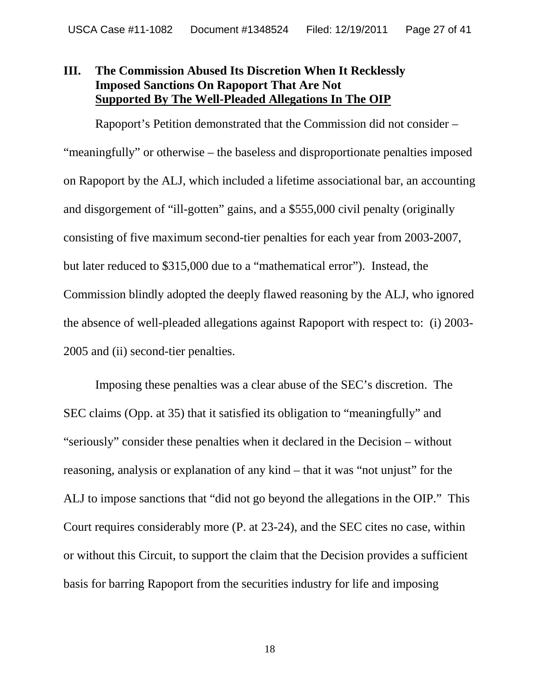#### **III. The Commission Abused Its Discretion When It Recklessly Imposed Sanctions On Rapoport That Are Not Supported By The Well-Pleaded Allegations In The OIP**

Rapoport's Petition demonstrated that the Commission did not consider – "meaningfully" or otherwise – the baseless and disproportionate penalties imposed on Rapoport by the ALJ, which included a lifetime associational bar, an accounting and disgorgement of "ill-gotten" gains, and a \$555,000 civil penalty (originally consisting of five maximum second-tier penalties for each year from 2003-2007, but later reduced to \$315,000 due to a "mathematical error"). Instead, the Commission blindly adopted the deeply flawed reasoning by the ALJ, who ignored the absence of well-pleaded allegations against Rapoport with respect to: (i) 2003- 2005 and (ii) second-tier penalties.

Imposing these penalties was a clear abuse of the SEC's discretion. The SEC claims (Opp. at 35) that it satisfied its obligation to "meaningfully" and "seriously" consider these penalties when it declared in the Decision – without reasoning, analysis or explanation of any kind – that it was "not unjust" for the ALJ to impose sanctions that "did not go beyond the allegations in the OIP." This Court requires considerably more (P. at 23-24), and the SEC cites no case, within or without this Circuit, to support the claim that the Decision provides a sufficient basis for barring Rapoport from the securities industry for life and imposing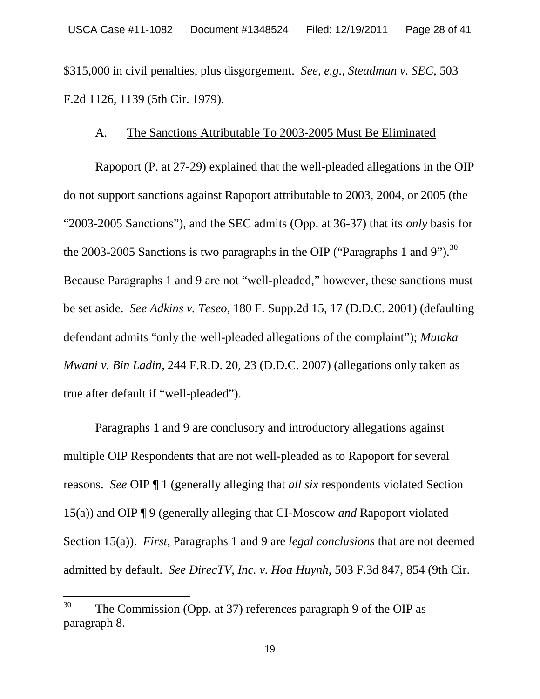\$315,000 in civil penalties, plus disgorgement. *See, e.g.*, *Steadman v. SEC*, 503 F.2d 1126, 1139 (5th Cir. 1979).

#### A. The Sanctions Attributable To 2003-2005 Must Be Eliminated

Rapoport (P. at 27-29) explained that the well-pleaded allegations in the OIP do not support sanctions against Rapoport attributable to 2003, 2004, or 2005 (the "2003-2005 Sanctions"), and the SEC admits (Opp. at 36-37) that its *only* basis for the 2003-2005 Sanctions is two paragraphs in the OIP ("Paragraphs 1 and 9").<sup>30</sup> Because Paragraphs 1 and 9 are not "well-pleaded," however, these sanctions must be set aside. *See Adkins v. Teseo*, 180 F. Supp.2d 15, 17 (D.D.C. 2001) (defaulting defendant admits "only the well-pleaded allegations of the complaint"); *Mutaka Mwani v. Bin Ladin*, 244 F.R.D. 20, 23 (D.D.C. 2007) (allegations only taken as true after default if "well-pleaded").

Paragraphs 1 and 9 are conclusory and introductory allegations against multiple OIP Respondents that are not well-pleaded as to Rapoport for several reasons. *See* OIP ¶ 1 (generally alleging that *all six* respondents violated Section 15(a)) and OIP ¶ 9 (generally alleging that CI-Moscow *and* Rapoport violated Section 15(a)). *First*, Paragraphs 1 and 9 are *legal conclusions* that are not deemed admitted by default. *See DirecTV, Inc. v. Hoa Huynh*, 503 F.3d 847, 854 (9th Cir.

 $30$  The Commission (Opp. at 37) references paragraph 9 of the OIP as paragraph 8.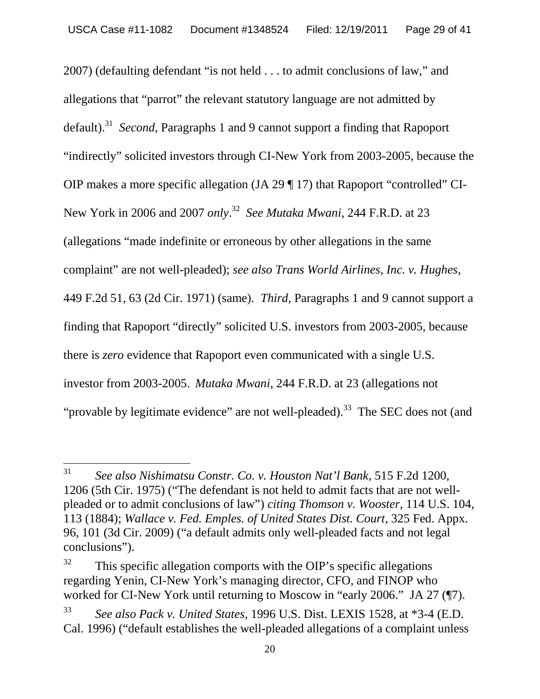2007) (defaulting defendant "is not held . . . to admit conclusions of law," and allegations that "parrot" the relevant statutory language are not admitted by default).<sup>31</sup> *Second*, Paragraphs 1 and 9 cannot support a finding that Rapoport "indirectly" solicited investors through CI-New York from 2003-2005, because the OIP makes a more specific allegation (JA 29 ¶ 17) that Rapoport "controlled" CI-New York in 2006 and 2007 *only*. <sup>32</sup> *See Mutaka Mwani*, 244 F.R.D. at 23 (allegations "made indefinite or erroneous by other allegations in the same complaint" are not well-pleaded); *see also Trans World Airlines, Inc. v. Hughes*, 449 F.2d 51, 63 (2d Cir. 1971) (same). *Third,* Paragraphs 1 and 9 cannot support a finding that Rapoport "directly" solicited U.S. investors from 2003-2005, because there is *zero* evidence that Rapoport even communicated with a single U.S. investor from 2003-2005. *Mutaka Mwani*, 244 F.R.D. at 23 (allegations not "provable by legitimate evidence" are not well-pleaded).<sup>33</sup> The SEC does not (and

<sup>31</sup> *See also Nishimatsu Constr. Co. v. Houston Nat'l Bank*, 515 F.2d 1200, 1206 (5th Cir. 1975) ("The defendant is not held to admit facts that are not wellpleaded or to admit conclusions of law") *citing Thomson v. Wooster*, 114 U.S. 104, 113 (1884); *Wallace v. Fed. Emples. of United States Dist. Court*, 325 Fed. Appx. 96, 101 (3d Cir. 2009) ("a default admits only well-pleaded facts and not legal conclusions").

 $32$  This specific allegation comports with the OIP's specific allegations regarding Yenin, CI-New York's managing director, CFO, and FINOP who worked for CI-New York until returning to Moscow in "early 2006." JA 27 (¶7).

<sup>33</sup> *See also Pack v. United States*, 1996 U.S. Dist. LEXIS 1528, at \*3-4 (E.D. Cal. 1996) ("default establishes the well-pleaded allegations of a complaint unless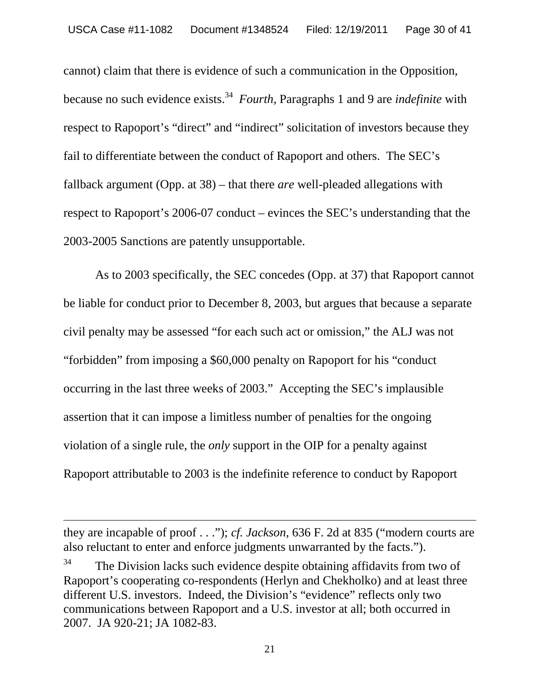cannot) claim that there is evidence of such a communication in the Opposition, because no such evidence exists.<sup>34</sup> *Fourth*, Paragraphs 1 and 9 are *indefinite* with respect to Rapoport's "direct" and "indirect" solicitation of investors because they fail to differentiate between the conduct of Rapoport and others. The SEC's fallback argument (Opp. at 38) – that there *are* well-pleaded allegations with respect to Rapoport's 2006-07 conduct – evinces the SEC's understanding that the 2003-2005 Sanctions are patently unsupportable.

As to 2003 specifically, the SEC concedes (Opp. at 37) that Rapoport cannot be liable for conduct prior to December 8, 2003, but argues that because a separate civil penalty may be assessed "for each such act or omission," the ALJ was not "forbidden" from imposing a \$60,000 penalty on Rapoport for his "conduct occurring in the last three weeks of 2003." Accepting the SEC's implausible assertion that it can impose a limitless number of penalties for the ongoing violation of a single rule, the *only* support in the OIP for a penalty against Rapoport attributable to 2003 is the indefinite reference to conduct by Rapoport

they are incapable of proof . . ."); *cf. Jackson,* 636 F. 2d at 835 ("modern courts are also reluctant to enter and enforce judgments unwarranted by the facts.").

 $34$  The Division lacks such evidence despite obtaining affidavits from two of Rapoport's cooperating co-respondents (Herlyn and Chekholko) and at least three different U.S. investors. Indeed, the Division's "evidence" reflects only two communications between Rapoport and a U.S. investor at all; both occurred in 2007. JA 920-21; JA 1082-83.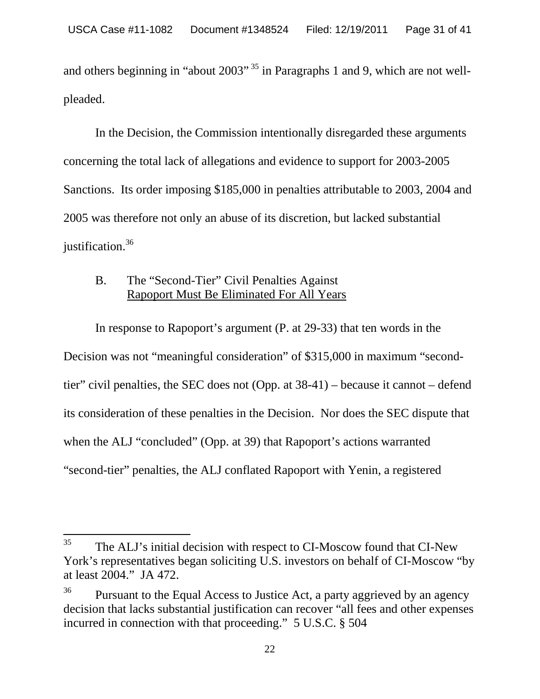and others beginning in "about 2003"<sup>35</sup> in Paragraphs 1 and 9, which are not wellpleaded.

In the Decision, the Commission intentionally disregarded these arguments concerning the total lack of allegations and evidence to support for 2003-2005 Sanctions. Its order imposing \$185,000 in penalties attributable to 2003, 2004 and 2005 was therefore not only an abuse of its discretion, but lacked substantial justification.<sup>36</sup>

#### B. The "Second-Tier" Civil Penalties Against Rapoport Must Be Eliminated For All Years

In response to Rapoport's argument (P. at 29-33) that ten words in the Decision was not "meaningful consideration" of \$315,000 in maximum "secondtier" civil penalties, the SEC does not (Opp. at 38-41) – because it cannot – defend its consideration of these penalties in the Decision. Nor does the SEC dispute that when the ALJ "concluded" (Opp. at 39) that Rapoport's actions warranted "second-tier" penalties, the ALJ conflated Rapoport with Yenin, a registered

 $35$  The ALJ's initial decision with respect to CI-Moscow found that CI-New York's representatives began soliciting U.S. investors on behalf of CI-Moscow "by at least 2004." JA 472.

 $36$  Pursuant to the Equal Access to Justice Act, a party aggrieved by an agency decision that lacks substantial justification can recover "all fees and other expenses incurred in connection with that proceeding." 5 U.S.C. § 504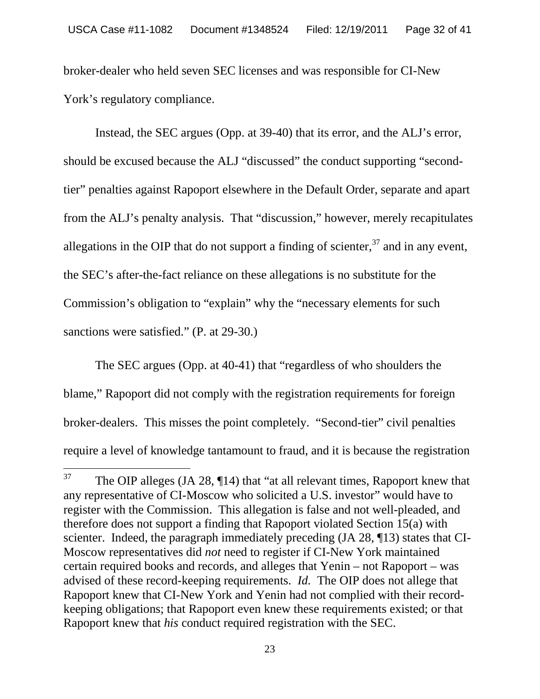broker-dealer who held seven SEC licenses and was responsible for CI-New York's regulatory compliance.

Instead, the SEC argues (Opp. at 39-40) that its error, and the ALJ's error, should be excused because the ALJ "discussed" the conduct supporting "secondtier" penalties against Rapoport elsewhere in the Default Order, separate and apart from the ALJ's penalty analysis. That "discussion," however, merely recapitulates allegations in the OIP that do not support a finding of scienter, $37$  and in any event, the SEC's after-the-fact reliance on these allegations is no substitute for the Commission's obligation to "explain" why the "necessary elements for such sanctions were satisfied." (P. at 29-30.)

The SEC argues (Opp. at 40-41) that "regardless of who shoulders the blame," Rapoport did not comply with the registration requirements for foreign broker-dealers. This misses the point completely. "Second-tier" civil penalties require a level of knowledge tantamount to fraud, and it is because the registration

 $37$  The OIP alleges (JA 28,  $\P$ 14) that "at all relevant times, Rapoport knew that any representative of CI-Moscow who solicited a U.S. investor" would have to register with the Commission. This allegation is false and not well-pleaded, and therefore does not support a finding that Rapoport violated Section 15(a) with scienter. Indeed, the paragraph immediately preceding (JA 28, ¶13) states that CI-Moscow representatives did *not* need to register if CI-New York maintained certain required books and records, and alleges that Yenin – not Rapoport – was advised of these record-keeping requirements. *Id.* The OIP does not allege that Rapoport knew that CI-New York and Yenin had not complied with their recordkeeping obligations; that Rapoport even knew these requirements existed; or that Rapoport knew that *his* conduct required registration with the SEC.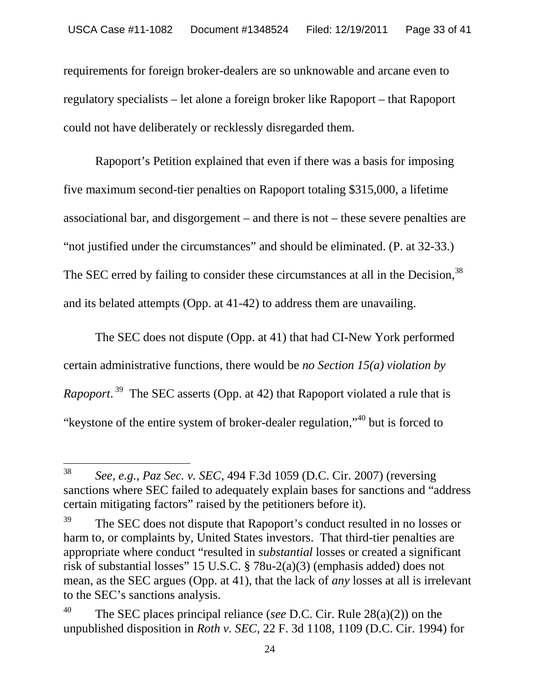requirements for foreign broker-dealers are so unknowable and arcane even to regulatory specialists – let alone a foreign broker like Rapoport – that Rapoport could not have deliberately or recklessly disregarded them.

Rapoport's Petition explained that even if there was a basis for imposing five maximum second-tier penalties on Rapoport totaling \$315,000, a lifetime associational bar, and disgorgement – and there is not – these severe penalties are "not justified under the circumstances" and should be eliminated. (P. at 32-33.) The SEC erred by failing to consider these circumstances at all in the Decision.<sup>38</sup> and its belated attempts (Opp. at 41-42) to address them are unavailing.

The SEC does not dispute (Opp. at 41) that had CI-New York performed certain administrative functions, there would be *no Section 15(a) violation by Rapoport*. <sup>39</sup> The SEC asserts (Opp. at 42) that Rapoport violated a rule that is "keystone of the entire system of broker-dealer regulation,"<sup>40</sup> but is forced to

<sup>38</sup> *See, e.g., Paz Sec. v. SEC*, 494 F.3d 1059 (D.C. Cir. 2007) (reversing sanctions where SEC failed to adequately explain bases for sanctions and "address certain mitigating factors" raised by the petitioners before it).

<sup>&</sup>lt;sup>39</sup> The SEC does not dispute that Rapoport's conduct resulted in no losses or harm to, or complaints by, United States investors. That third-tier penalties are appropriate where conduct "resulted in *substantial* losses or created a significant risk of substantial losses" 15 U.S.C. § 78u-2(a)(3) (emphasis added) does not mean, as the SEC argues (Opp. at 41), that the lack of *any* losses at all is irrelevant to the SEC's sanctions analysis.

<sup>40</sup> The SEC places principal reliance (*see* D.C. Cir. Rule 28(a)(2)) on the unpublished disposition in *Roth v. SEC,* 22 F. 3d 1108, 1109 (D.C. Cir. 1994) for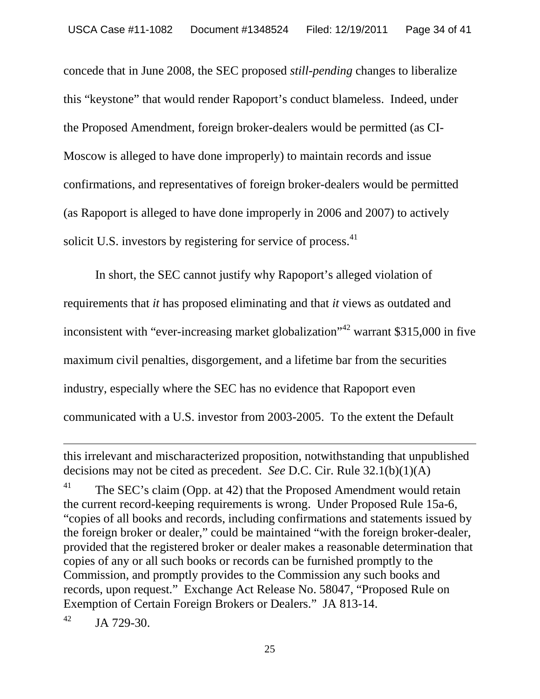concede that in June 2008, the SEC proposed *still-pending* changes to liberalize this "keystone" that would render Rapoport's conduct blameless. Indeed, under the Proposed Amendment, foreign broker-dealers would be permitted (as CI-Moscow is alleged to have done improperly) to maintain records and issue confirmations, and representatives of foreign broker-dealers would be permitted (as Rapoport is alleged to have done improperly in 2006 and 2007) to actively solicit U.S. investors by registering for service of process.<sup>41</sup>

In short, the SEC cannot justify why Rapoport's alleged violation of requirements that *it* has proposed eliminating and that *it* views as outdated and inconsistent with "ever-increasing market globalization"<sup>42</sup> warrant \$315,000 in five maximum civil penalties, disgorgement, and a lifetime bar from the securities industry, especially where the SEC has no evidence that Rapoport even communicated with a U.S. investor from 2003-2005. To the extent the Default

 $^{42}$  JA 729-30.

this irrelevant and mischaracterized proposition, notwithstanding that unpublished decisions may not be cited as precedent. *See* D.C. Cir. Rule 32.1(b)(1)(A)

<sup>&</sup>lt;sup>41</sup> The SEC's claim (Opp. at 42) that the Proposed Amendment would retain the current record-keeping requirements is wrong. Under Proposed Rule 15a-6, "copies of all books and records, including confirmations and statements issued by the foreign broker or dealer," could be maintained "with the foreign broker-dealer, provided that the registered broker or dealer makes a reasonable determination that copies of any or all such books or records can be furnished promptly to the Commission, and promptly provides to the Commission any such books and records, upon request." Exchange Act Release No. 58047, "Proposed Rule on Exemption of Certain Foreign Brokers or Dealers." JA 813-14.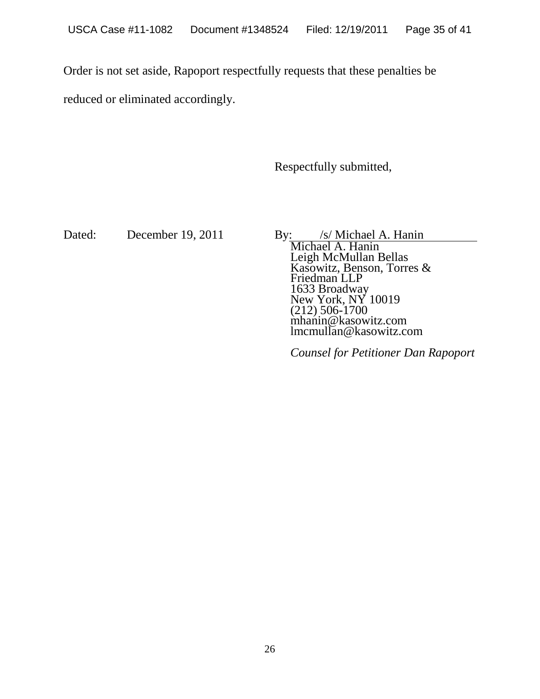Order is not set aside, Rapoport respectfully requests that these penalties be

reduced or eliminated accordingly.

Respectfully submitted,

Dated: December 19, 2011 By: /s/ Michael A. Hanin

Michael A. Hanin Leigh McMullan Bellas Kasowitz, Benson, Torres & Friedman LLP 1633 Broadway New York, NY 10019 (212) 506-1700 mhanin@kasowitz.com lmcmullan@kasowitz.com

*Counsel for Petitioner Dan Rapoport*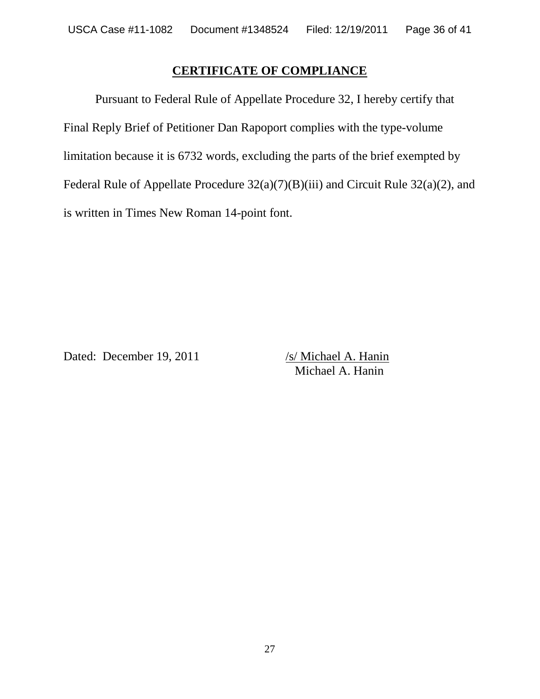#### **CERTIFICATE OF COMPLIANCE**

Pursuant to Federal Rule of Appellate Procedure 32, I hereby certify that Final Reply Brief of Petitioner Dan Rapoport complies with the type-volume limitation because it is 6732 words, excluding the parts of the brief exempted by Federal Rule of Appellate Procedure 32(a)(7)(B)(iii) and Circuit Rule 32(a)(2), and is written in Times New Roman 14-point font.

Dated: December 19, 2011 /s/ Michael A. Hanin

Michael A. Hanin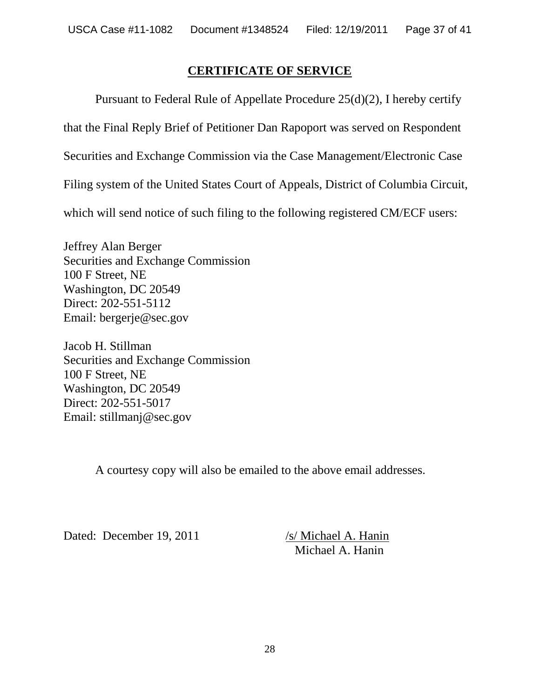#### **CERTIFICATE OF SERVICE**

Pursuant to Federal Rule of Appellate Procedure 25(d)(2), I hereby certify that the Final Reply Brief of Petitioner Dan Rapoport was served on Respondent Securities and Exchange Commission via the Case Management/Electronic Case Filing system of the United States Court of Appeals, District of Columbia Circuit, which will send notice of such filing to the following registered CM/ECF users:

Jeffrey Alan Berger Securities and Exchange Commission 100 F Street, NE Washington, DC 20549 Direct: 202-551-5112 Email: bergerje@sec.gov

Jacob H. Stillman Securities and Exchange Commission 100 F Street, NE Washington, DC 20549 Direct: 202-551-5017 Email: stillmanj@sec.gov

A courtesy copy will also be emailed to the above email addresses.

Dated: December 19, 2011 /s/ Michael A. Hanin

Michael A. Hanin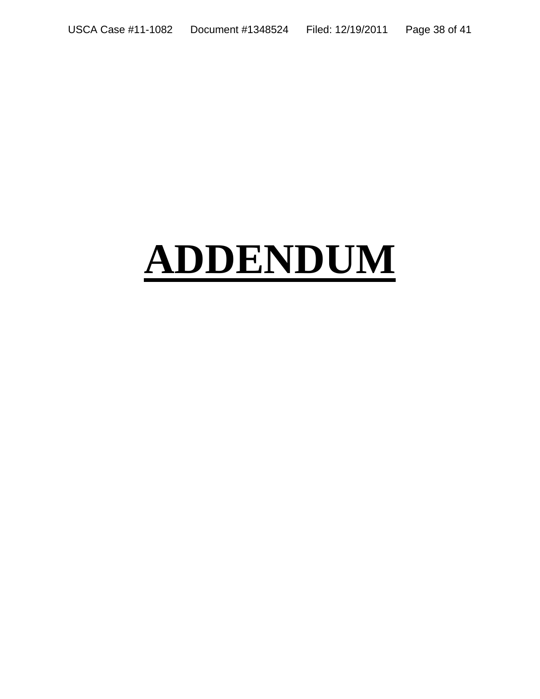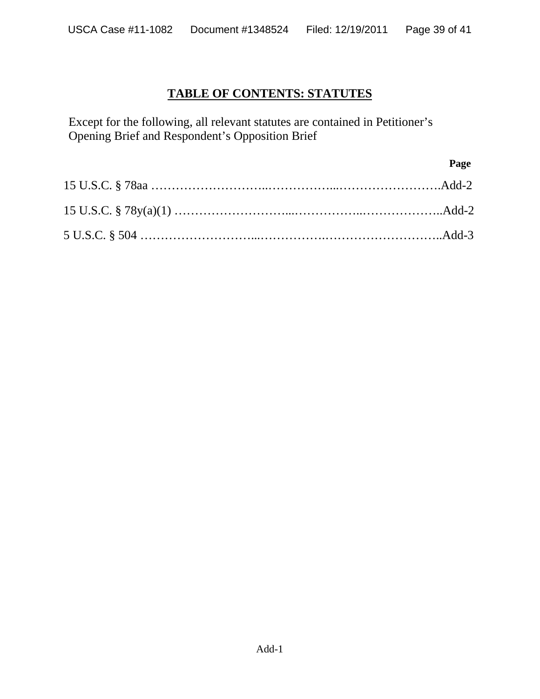# **TABLE OF CONTENTS: STATUTES**

Except for the following, all relevant statutes are contained in Petitioner's Opening Brief and Respondent's Opposition Brief

| Page |
|------|
|      |
|      |
|      |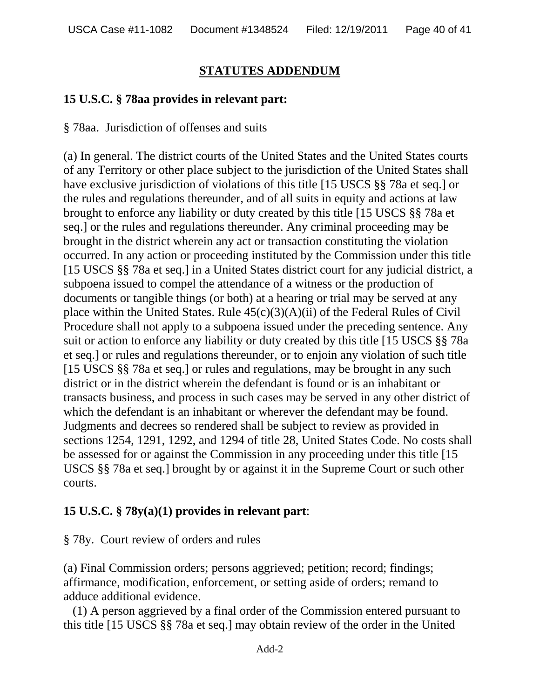# **STATUTES ADDENDUM**

## **15 U.S.C. § 78aa provides in relevant part:**

§ 78aa. Jurisdiction of offenses and suits

(a) In general. The district courts of the United States and the United States courts of any Territory or other place subject to the jurisdiction of the United States shall have exclusive jurisdiction of violations of this title [15 USCS §§ 78a et seq.] or the rules and regulations thereunder, and of all suits in equity and actions at law brought to enforce any liability or duty created by this title [15 USCS §§ 78a et seq.] or the rules and regulations thereunder. Any criminal proceeding may be brought in the district wherein any act or transaction constituting the violation occurred. In any action or proceeding instituted by the Commission under this title [15 USCS §§ 78a et seq.] in a United States district court for any judicial district, a subpoena issued to compel the attendance of a witness or the production of documents or tangible things (or both) at a hearing or trial may be served at any place within the United States. Rule  $45(c)(3)(A)(ii)$  of the Federal Rules of Civil Procedure shall not apply to a subpoena issued under the preceding sentence. Any suit or action to enforce any liability or duty created by this title [15 USCS §§ 78a et seq.] or rules and regulations thereunder, or to enjoin any violation of such title [15 USCS §§ 78a et seq.] or rules and regulations, may be brought in any such district or in the district wherein the defendant is found or is an inhabitant or transacts business, and process in such cases may be served in any other district of which the defendant is an inhabitant or wherever the defendant may be found. Judgments and decrees so rendered shall be subject to review as provided in sections 1254, 1291, 1292, and 1294 of title 28, United States Code. No costs shall be assessed for or against the Commission in any proceeding under this title [15 USCS §§ 78a et seq.] brought by or against it in the Supreme Court or such other courts.

## **15 U.S.C. § 78y(a)(1) provides in relevant part**:

§ 78y. Court review of orders and rules

(a) Final Commission orders; persons aggrieved; petition; record; findings; affirmance, modification, enforcement, or setting aside of orders; remand to adduce additional evidence.

(1) A person aggrieved by a final order of the Commission entered pursuant to this title [15 USCS §§ 78a et seq.] may obtain review of the order in the United